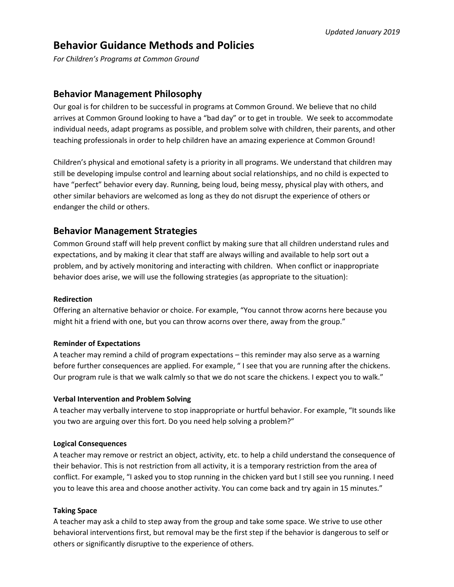# **Behavior Guidance Methods and Policies**

*For Children's Programs at Common Ground*

### **Behavior Management Philosophy**

Our goal is for children to be successful in programs at Common Ground. We believe that no child arrives at Common Ground looking to have a "bad day" or to get in trouble. We seek to accommodate individual needs, adapt programs as possible, and problem solve with children, their parents, and other teaching professionals in order to help children have an amazing experience at Common Ground!

Children's physical and emotional safety is a priority in all programs. We understand that children may still be developing impulse control and learning about social relationships, and no child is expected to have "perfect" behavior every day. Running, being loud, being messy, physical play with others, and other similar behaviors are welcomed as long as they do not disrupt the experience of others or endanger the child or others.

### **Behavior Management Strategies**

Common Ground staff will help prevent conflict by making sure that all children understand rules and expectations, and by making it clear that staff are always willing and available to help sort out a problem, and by actively monitoring and interacting with children. When conflict or inappropriate behavior does arise, we will use the following strategies (as appropriate to the situation):

#### **Redirection**

Offering an alternative behavior or choice. For example, "You cannot throw acorns here because you might hit a friend with one, but you can throw acorns over there, away from the group."

#### **Reminder of Expectations**

A teacher may remind a child of program expectations – this reminder may also serve as a warning before further consequences are applied. For example, " I see that you are running after the chickens. Our program rule is that we walk calmly so that we do not scare the chickens. I expect you to walk."

#### **Verbal Intervention and Problem Solving**

A teacher may verbally intervene to stop inappropriate or hurtful behavior. For example, "It sounds like you two are arguing over this fort. Do you need help solving a problem?"

#### **Logical Consequences**

A teacher may remove or restrict an object, activity, etc. to help a child understand the consequence of their behavior. This is not restriction from all activity, it is a temporary restriction from the area of conflict. For example, "I asked you to stop running in the chicken yard but I still see you running. I need you to leave this area and choose another activity. You can come back and try again in 15 minutes."

#### **Taking Space**

A teacher may ask a child to step away from the group and take some space. We strive to use other behavioral interventions first, but removal may be the first step if the behavior is dangerous to self or others or significantly disruptive to the experience of others.